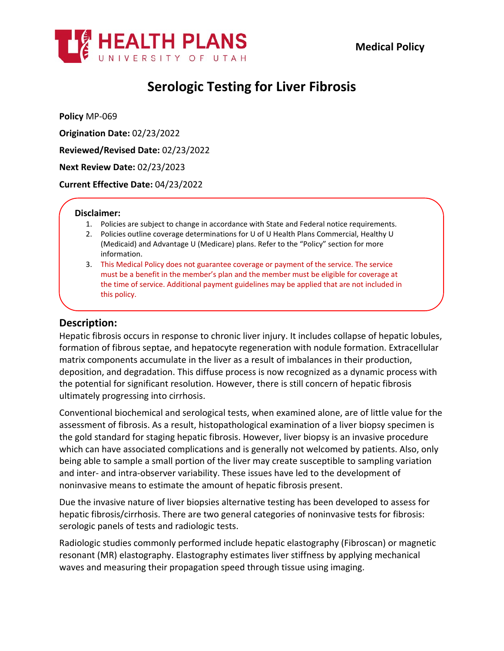

# **Serologic Testing for Liver Fibrosis**

**Policy** MP-069

**Origination Date:** 02/23/2022

**Reviewed/Revised Date:** 02/23/2022

**Next Review Date:** 02/23/2023

**Current Effective Date:** 04/23/2022

### **Disclaimer:**

- 1. Policies are subject to change in accordance with State and Federal notice requirements.
- 2. Policies outline coverage determinations for U of U Health Plans Commercial, Healthy U (Medicaid) and Advantage U (Medicare) plans. Refer to the "Policy" section for more information.
- 3. This Medical Policy does not guarantee coverage or payment of the service. The service must be a benefit in the member's plan and the member must be eligible for coverage at the time of service. Additional payment guidelines may be applied that are not included in this policy.

### **Description:**

Hepatic fibrosis occurs in response to chronic liver injury. It includes collapse of hepatic lobules, formation of fibrous septae, and hepatocyte regeneration with nodule formation. Extracellular matrix components accumulate in the liver as a result of imbalances in their production, deposition, and degradation. This diffuse process is now recognized as a dynamic process with the potential for significant resolution. However, there is still concern of hepatic fibrosis ultimately progressing into cirrhosis.

Conventional biochemical and serological tests, when examined alone, are of little value for the assessment of fibrosis. As a result, histopathological examination of a liver biopsy specimen is the gold standard for staging hepatic fibrosis. However, liver biopsy is an invasive procedure which can have associated complications and is generally not welcomed by patients. Also, only being able to sample a small portion of the liver may create susceptible to sampling variation and inter- and intra-observer variability. These issues have led to the development of noninvasive means to estimate the amount of hepatic fibrosis present.

Due the invasive nature of liver biopsies alternative testing has been developed to assess for hepatic fibrosis/cirrhosis. There are two general categories of noninvasive tests for fibrosis: serologic panels of tests and radiologic tests.

Radiologic studies commonly performed include hepatic elastography (Fibroscan) or magnetic resonant (MR) elastography. Elastography estimates liver stiffness by applying mechanical waves and measuring their propagation speed through tissue using imaging.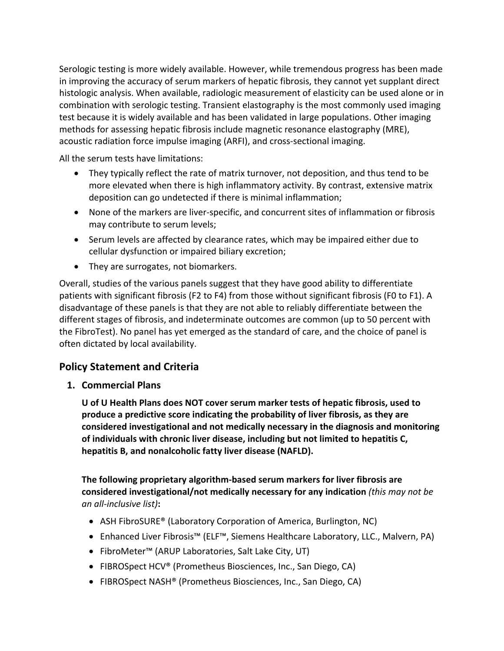Serologic testing is more widely available. However, while tremendous progress has been made in improving the accuracy of serum markers of hepatic fibrosis, they cannot yet supplant direct histologic analysis. When available, radiologic measurement of elasticity can be used alone or in combination with serologic testing. Transient elastography is the most commonly used imaging test because it is widely available and has been validated in large populations. Other imaging methods for assessing hepatic fibrosis include magnetic resonance elastography (MRE), acoustic radiation force impulse imaging (ARFI), and cross-sectional imaging.

All the serum tests have limitations:

- They typically reflect the rate of matrix turnover, not deposition, and thus tend to be more elevated when there is high inflammatory activity. By contrast, extensive matrix deposition can go undetected if there is minimal inflammation;
- None of the markers are liver-specific, and concurrent sites of inflammation or fibrosis may contribute to serum levels;
- Serum levels are affected by clearance rates, which may be impaired either due to cellular dysfunction or impaired biliary excretion;
- They are surrogates, not biomarkers.

Overall, studies of the various panels suggest that they have good ability to differentiate patients with significant fibrosis (F2 to F4) from those without significant fibrosis (F0 to F1). A disadvantage of these panels is that they are not able to reliably differentiate between the different stages of fibrosis, and indeterminate outcomes are common (up to 50 percent with the FibroTest). No panel has yet emerged as the standard of care, and the choice of panel is often dictated by local availability.

## **Policy Statement and Criteria**

**1. Commercial Plans**

**U of U Health Plans does NOT cover serum marker tests of hepatic fibrosis, used to produce a predictive score indicating the probability of liver fibrosis, as they are considered investigational and not medically necessary in the diagnosis and monitoring of individuals with chronic liver disease, including but not limited to hepatitis C, hepatitis B, and nonalcoholic fatty liver disease (NAFLD).**

**The following proprietary algorithm-based serum markers for liver fibrosis are considered investigational/not medically necessary for any indication** *(this may not be an all-inclusive list)***:**

- ASH FibroSURE® (Laboratory Corporation of America, Burlington, NC)
- Enhanced Liver Fibrosis™ (ELF™, Siemens Healthcare Laboratory, LLC., Malvern, PA)
- FibroMeter™ (ARUP Laboratories, Salt Lake City, UT)
- FIBROSpect HCV® (Prometheus Biosciences, Inc., San Diego, CA)
- FIBROSpect NASH® (Prometheus Biosciences, Inc., San Diego, CA)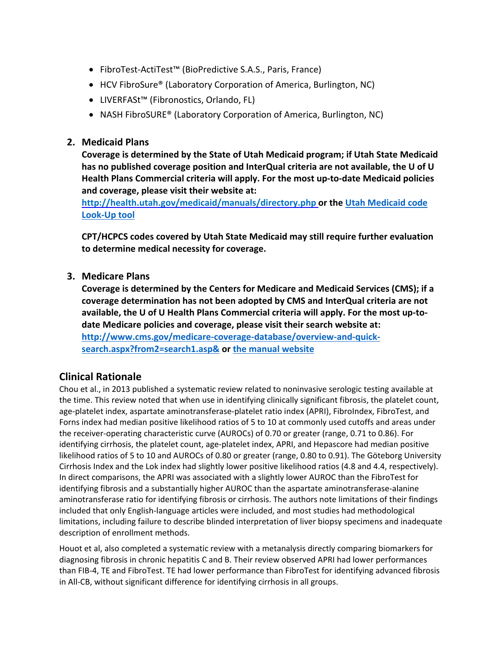- FibroTest-ActiTest™ (BioPredictive S.A.S., Paris, France)
- HCV FibroSure® (Laboratory Corporation of America, Burlington, NC)
- LIVERFASt™ (Fibronostics, Orlando, FL)
- NASH FibroSURE® (Laboratory Corporation of America, Burlington, NC)

### **2. Medicaid Plans**

**Coverage is determined by the State of Utah Medicaid program; if Utah State Medicaid has no published coverage position and InterQual criteria are not available, the U of U Health Plans Commercial criteria will apply. For the most up-to-date Medicaid policies and coverage, please visit their website at:**

**<http://health.utah.gov/medicaid/manuals/directory.php> or the [Utah Medicaid code](https://health.utah.gov/stplan/lookup/CoverageLookup.php)  [Look-Up tool](https://health.utah.gov/stplan/lookup/CoverageLookup.php)**

**CPT/HCPCS codes covered by Utah State Medicaid may still require further evaluation to determine medical necessity for coverage.**

### **3. Medicare Plans**

**Coverage is determined by the Centers for Medicare and Medicaid Services (CMS); if a coverage determination has not been adopted by CMS and InterQual criteria are not available, the U of U Health Plans Commercial criteria will apply. For the most up-todate Medicare policies and coverage, please visit their search website at: [http://www.cms.gov/medicare-coverage-database/overview-and-quick](http://www.cms.gov/medicare-coverage-database/overview-and-quick-search.aspx?from2=search1.asp&)[search.aspx?from2=search1.asp&](http://www.cms.gov/medicare-coverage-database/overview-and-quick-search.aspx?from2=search1.asp&) or [the manual website](https://www.cms.gov/Regulations-and-Guidance/Guidance/Manuals/Internet-Only-Manuals-IOMs)**

### **Clinical Rationale**

Chou et al., in 2013 published a systematic review related to noninvasive serologic testing available at the time. This review noted that when use in identifying clinically significant fibrosis, the platelet count, age-platelet index, aspartate aminotransferase-platelet ratio index (APRI), FibroIndex, FibroTest, and Forns index had median positive likelihood ratios of 5 to 10 at commonly used cutoffs and areas under the receiver-operating characteristic curve (AUROCs) of 0.70 or greater (range, 0.71 to 0.86). For identifying cirrhosis, the platelet count, age-platelet index, APRI, and Hepascore had median positive likelihood ratios of 5 to 10 and AUROCs of 0.80 or greater (range, 0.80 to 0.91). The Göteborg University Cirrhosis Index and the Lok index had slightly lower positive likelihood ratios (4.8 and 4.4, respectively). In direct comparisons, the APRI was associated with a slightly lower AUROC than the FibroTest for identifying fibrosis and a substantially higher AUROC than the aspartate aminotransferase-alanine aminotransferase ratio for identifying fibrosis or cirrhosis. The authors note limitations of their findings included that only English-language articles were included, and most studies had methodological limitations, including failure to describe blinded interpretation of liver biopsy specimens and inadequate description of enrollment methods.

Houot et al, also completed a systematic review with a metanalysis directly comparing biomarkers for diagnosing fibrosis in chronic hepatitis C and B. Their review observed APRI had lower performances than FIB-4, TE and FibroTest. TE had lower performance than FibroTest for identifying advanced fibrosis in All-CB, without significant difference for identifying cirrhosis in all groups.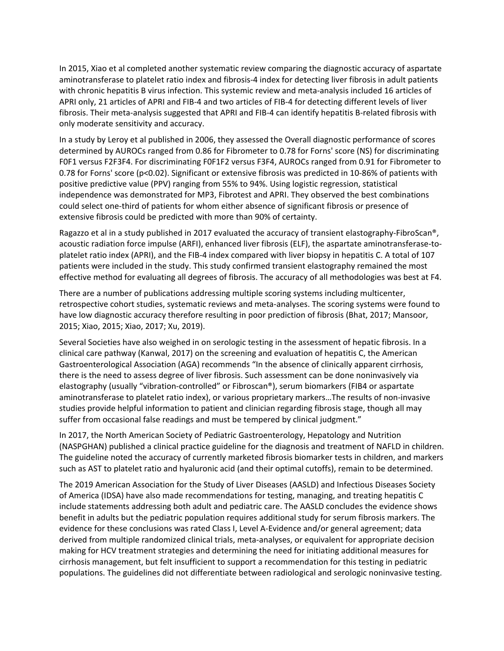In 2015, Xiao et al completed another systematic review comparing the diagnostic accuracy of aspartate aminotransferase to platelet ratio index and fibrosis-4 index for detecting liver fibrosis in adult patients with chronic hepatitis B virus infection. This systemic review and meta-analysis included 16 articles of APRI only, 21 articles of APRI and FIB-4 and two articles of FIB-4 for detecting different levels of liver fibrosis. Their meta-analysis suggested that APRI and FIB-4 can identify hepatitis B-related fibrosis with only moderate sensitivity and accuracy.

In a study by Leroy et al published in 2006, they assessed the Overall diagnostic performance of scores determined by AUROCs ranged from 0.86 for Fibrometer to 0.78 for Forns' score (NS) for discriminating F0F1 versus F2F3F4. For discriminating F0F1F2 versus F3F4, AUROCs ranged from 0.91 for Fibrometer to 0.78 for Forns' score (p<0.02). Significant or extensive fibrosis was predicted in 10-86% of patients with positive predictive value (PPV) ranging from 55% to 94%. Using logistic regression, statistical independence was demonstrated for MP3, Fibrotest and APRI. They observed the best combinations could select one-third of patients for whom either absence of significant fibrosis or presence of extensive fibrosis could be predicted with more than 90% of certainty.

Ragazzo et al in a study published in 2017 evaluated the accuracy of transient elastography-FibroScan®, acoustic radiation force impulse (ARFI), enhanced liver fibrosis (ELF), the aspartate aminotransferase-toplatelet ratio index (APRI), and the FIB-4 index compared with liver biopsy in hepatitis C. A total of 107 patients were included in the study. This study confirmed transient elastography remained the most effective method for evaluating all degrees of fibrosis. The accuracy of all methodologies was best at F4.

There are a number of publications addressing multiple scoring systems including multicenter, retrospective cohort studies, systematic reviews and meta-analyses. The scoring systems were found to have low diagnostic accuracy therefore resulting in poor prediction of fibrosis (Bhat, 2017; Mansoor, 2015; Xiao, 2015; Xiao, 2017; Xu, 2019).

Several Societies have also weighed in on serologic testing in the assessment of hepatic fibrosis. In a clinical care pathway (Kanwal, 2017) on the screening and evaluation of hepatitis C, the American Gastroenterological Association (AGA) recommends "In the absence of clinically apparent cirrhosis, there is the need to assess degree of liver fibrosis. Such assessment can be done noninvasively via elastography (usually "vibration-controlled" or Fibroscan®), serum biomarkers (FIB4 or aspartate aminotransferase to platelet ratio index), or various proprietary markers…The results of non-invasive studies provide helpful information to patient and clinician regarding fibrosis stage, though all may suffer from occasional false readings and must be tempered by clinical judgment."

In 2017, the North American Society of Pediatric Gastroenterology, Hepatology and Nutrition (NASPGHAN) published a clinical practice guideline for the diagnosis and treatment of NAFLD in children. The guideline noted the accuracy of currently marketed fibrosis biomarker tests in children, and markers such as AST to platelet ratio and hyaluronic acid (and their optimal cutoffs), remain to be determined.

The 2019 American Association for the Study of Liver Diseases (AASLD) and Infectious Diseases Society of America (IDSA) have also made recommendations for testing, managing, and treating hepatitis C include statements addressing both adult and pediatric care. The AASLD concludes the evidence shows benefit in adults but the pediatric population requires additional study for serum fibrosis markers. The evidence for these conclusions was rated Class I, Level A-Evidence and/or general agreement; data derived from multiple randomized clinical trials, meta-analyses, or equivalent for appropriate decision making for HCV treatment strategies and determining the need for initiating additional measures for cirrhosis management, but felt insufficient to support a recommendation for this testing in pediatric populations. The guidelines did not differentiate between radiological and serologic noninvasive testing.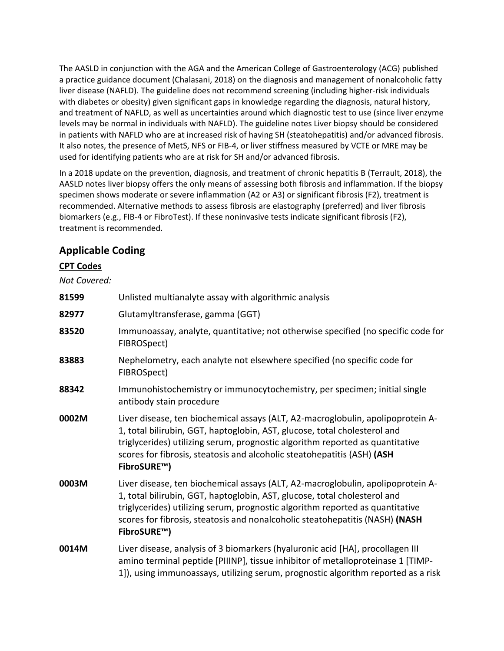The AASLD in conjunction with the AGA and the American College of Gastroenterology (ACG) published a practice guidance document (Chalasani, 2018) on the diagnosis and management of nonalcoholic fatty liver disease (NAFLD). The guideline does not recommend screening (including higher-risk individuals with diabetes or obesity) given significant gaps in knowledge regarding the diagnosis, natural history, and treatment of NAFLD, as well as uncertainties around which diagnostic test to use (since liver enzyme levels may be normal in individuals with NAFLD). The guideline notes Liver biopsy should be considered in patients with NAFLD who are at increased risk of having SH (steatohepatitis) and/or advanced fibrosis. It also notes, the presence of MetS, NFS or FIB-4, or liver stiffness measured by VCTE or MRE may be used for identifying patients who are at risk for SH and/or advanced fibrosis.

In a 2018 update on the prevention, diagnosis, and treatment of chronic hepatitis B (Terrault, 2018), the AASLD notes liver biopsy offers the only means of assessing both fibrosis and inflammation. If the biopsy specimen shows moderate or severe inflammation (A2 or A3) or significant fibrosis (F2), treatment is recommended. Alternative methods to assess fibrosis are elastography (preferred) and liver fibrosis biomarkers (e.g., FIB-4 or FibroTest). If these noninvasive tests indicate significant fibrosis (F2), treatment is recommended.

## **Applicable Coding**

### **CPT Codes**

### *Not Covered:*

| 81599 | Unlisted multianalyte assay with algorithmic analysis                                                                                                                                                                                                                                                                                        |
|-------|----------------------------------------------------------------------------------------------------------------------------------------------------------------------------------------------------------------------------------------------------------------------------------------------------------------------------------------------|
| 82977 | Glutamyltransferase, gamma (GGT)                                                                                                                                                                                                                                                                                                             |
| 83520 | Immunoassay, analyte, quantitative; not otherwise specified (no specific code for<br>FIBROSpect)                                                                                                                                                                                                                                             |
| 83883 | Nephelometry, each analyte not elsewhere specified (no specific code for<br>FIBROSpect)                                                                                                                                                                                                                                                      |
| 88342 | Immunohistochemistry or immunocytochemistry, per specimen; initial single<br>antibody stain procedure                                                                                                                                                                                                                                        |
| 0002M | Liver disease, ten biochemical assays (ALT, A2-macroglobulin, apolipoprotein A-<br>1, total bilirubin, GGT, haptoglobin, AST, glucose, total cholesterol and<br>triglycerides) utilizing serum, prognostic algorithm reported as quantitative<br>scores for fibrosis, steatosis and alcoholic steatohepatitis (ASH) (ASH<br>FibroSURE™)      |
| 0003M | Liver disease, ten biochemical assays (ALT, A2-macroglobulin, apolipoprotein A-<br>1, total bilirubin, GGT, haptoglobin, AST, glucose, total cholesterol and<br>triglycerides) utilizing serum, prognostic algorithm reported as quantitative<br>scores for fibrosis, steatosis and nonalcoholic steatohepatitis (NASH) (NASH<br>FibroSURE™) |
| 0014M | Liver disease, analysis of 3 biomarkers (hyaluronic acid [HA], procollagen III<br>amino terminal peptide [PIIINP], tissue inhibitor of metalloproteinase 1 [TIMP-<br>1]), using immunoassays, utilizing serum, prognostic algorithm reported as a risk                                                                                       |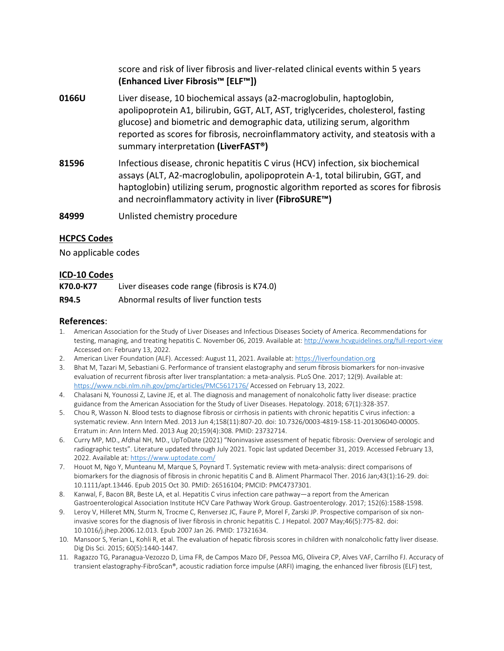score and risk of liver fibrosis and liver-related clinical events within 5 years **(Enhanced Liver Fibrosis™ [ELF™])**

- **0166U** Liver disease, 10 biochemical assays (a2-macroglobulin, haptoglobin, apolipoprotein A1, bilirubin, GGT, ALT, AST, triglycerides, cholesterol, fasting glucose) and biometric and demographic data, utilizing serum, algorithm reported as scores for fibrosis, necroinflammatory activity, and steatosis with a summary interpretation **(LiverFAST®)**
- **81596** Infectious disease, chronic hepatitis C virus (HCV) infection, six biochemical assays (ALT, A2-macroglobulin, apolipoprotein A-1, total bilirubin, GGT, and haptoglobin) utilizing serum, prognostic algorithm reported as scores for fibrosis and necroinflammatory activity in liver **(FibroSURE™)**
- **84999** Unlisted chemistry procedure

### **HCPCS Codes**

No applicable codes

#### **ICD-10 Codes**

| K70.0-K77 | Liver diseases code range (fibrosis is K74.0) |
|-----------|-----------------------------------------------|
| R94.5     | Abnormal results of liver function tests      |

#### **References**:

- 1. American Association for the Study of Liver Diseases and Infectious Diseases Society of America. Recommendations for testing, managing, and treating hepatitis C. November 06, 2019. Available at[: http://www.hcvguidelines.org/full-report-view](http://www.hcvguidelines.org/full-report-view) Accessed on: February 13, 2022.
- 2. American Liver Foundation (ALF). Accessed: August 11, 2021. Available at[: https://liverfoundation.org](https://liverfoundation.org/)
- 3. Bhat M, Tazari M, Sebastiani G. Performance of transient elastography and serum fibrosis biomarkers for non-invasive evaluation of recurrent fibrosis after liver transplantation: a meta-analysis. PLoS One. 2017; 12(9). Available at: <https://www.ncbi.nlm.nih.gov/pmc/articles/PMC5617176/> Accessed on February 13, 2022.
- 4. Chalasani N, Younossi Z, Lavine JE, et al. The diagnosis and management of nonalcoholic fatty liver disease: practice guidance from the American Association for the Study of Liver Diseases. Hepatology. 2018; 67(1):328-357.
- 5. Chou R, Wasson N. Blood tests to diagnose fibrosis or cirrhosis in patients with chronic hepatitis C virus infection: a systematic review. Ann Intern Med. 2013 Jun 4;158(11):807-20. doi: 10.7326/0003-4819-158-11-201306040-00005. Erratum in: Ann Intern Med. 2013 Aug 20;159(4):308. PMID: 23732714.
- 6. Curry MP, MD., Afdhal NH, MD., UpToDate (2021) "Noninvasive assessment of hepatic fibrosis: Overview of serologic and radiographic tests". Literature updated through July 2021. Topic last updated December 31, 2019. Accessed February 13, 2022. Available at[: https://www.uptodate.com/](https://www.uptodate.com/)
- 7. Houot M, Ngo Y, Munteanu M, Marque S, Poynard T. Systematic review with meta-analysis: direct comparisons of biomarkers for the diagnosis of fibrosis in chronic hepatitis C and B. Aliment Pharmacol Ther. 2016 Jan;43(1):16-29. doi: 10.1111/apt.13446. Epub 2015 Oct 30. PMID: 26516104; PMCID: PMC4737301.
- 8. Kanwal, F, Bacon BR, Beste LA, et al. Hepatitis C virus infection care pathway—a report from the American Gastroenterological Association Institute HCV Care Pathway Work Group. Gastroenterology. 2017; 152(6):1588-1598.
- 9. Leroy V, Hilleret MN, Sturm N, Trocme C, Renversez JC, Faure P, Morel F, Zarski JP. Prospective comparison of six noninvasive scores for the diagnosis of liver fibrosis in chronic hepatitis C. J Hepatol. 2007 May;46(5):775-82. doi: 10.1016/j.jhep.2006.12.013. Epub 2007 Jan 26. PMID: 17321634.
- 10. Mansoor S, Yerian L, Kohli R, et al. The evaluation of hepatic fibrosis scores in children with nonalcoholic fatty liver disease. Dig Dis Sci. 2015; 60(5):1440-1447.
- 11. Ragazzo TG, Paranagua-Vezozzo D, Lima FR, de Campos Mazo DF, Pessoa MG, Oliveira CP, Alves VAF, Carrilho FJ. Accuracy of transient elastography-FibroScan®, acoustic radiation force impulse (ARFI) imaging, the enhanced liver fibrosis (ELF) test,